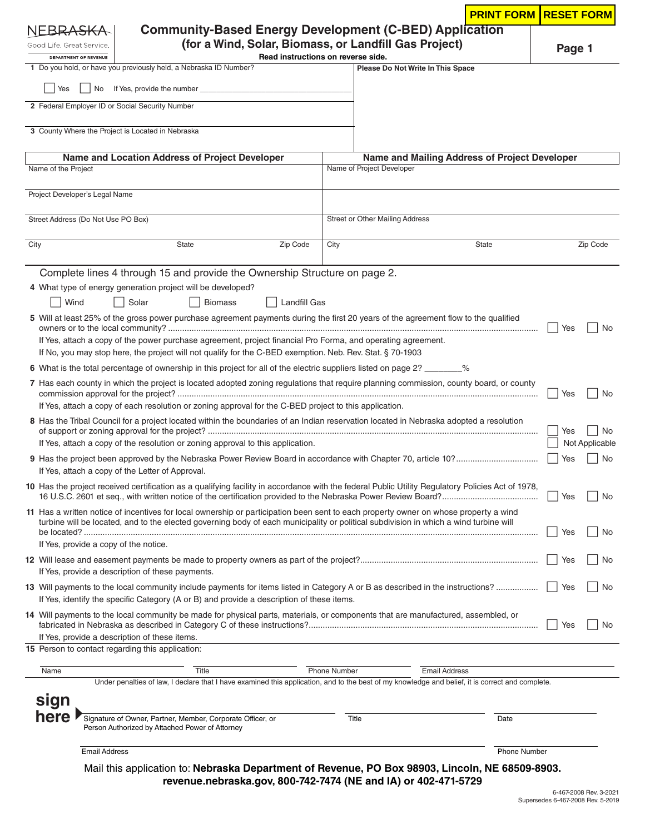|                                                                                                                                                   |                                                                                                                                                                                                                           |                                                       |                                 | <b>PRINT FORM</b>                             | <b>RESET FORM</b> |                       |  |
|---------------------------------------------------------------------------------------------------------------------------------------------------|---------------------------------------------------------------------------------------------------------------------------------------------------------------------------------------------------------------------------|-------------------------------------------------------|---------------------------------|-----------------------------------------------|-------------------|-----------------------|--|
| NEBRA <del>S</del> K                                                                                                                              | <b>Community-Based Energy Development (C-BED) Application</b>                                                                                                                                                             |                                                       |                                 |                                               |                   |                       |  |
| Good Life. Great Service.                                                                                                                         |                                                                                                                                                                                                                           | (for a Wind, Solar, Biomass, or Landfill Gas Project) |                                 |                                               | Page 1            |                       |  |
| DEPARTMENT OF REVENUE                                                                                                                             | 1 Do you hold, or have you previously held, a Nebraska ID Number?                                                                                                                                                         | Read instructions on reverse side.                    |                                 | Please Do Not Write In This Space             |                   |                       |  |
|                                                                                                                                                   |                                                                                                                                                                                                                           |                                                       |                                 |                                               |                   |                       |  |
| Yes<br>No                                                                                                                                         |                                                                                                                                                                                                                           |                                                       |                                 |                                               |                   |                       |  |
| 2 Federal Employer ID or Social Security Number                                                                                                   |                                                                                                                                                                                                                           |                                                       |                                 |                                               |                   |                       |  |
|                                                                                                                                                   | 3 County Where the Project is Located in Nebraska                                                                                                                                                                         |                                                       |                                 |                                               |                   |                       |  |
|                                                                                                                                                   |                                                                                                                                                                                                                           |                                                       |                                 |                                               |                   |                       |  |
| Name and Location Address of Project Developer                                                                                                    |                                                                                                                                                                                                                           |                                                       |                                 | Name and Mailing Address of Project Developer |                   |                       |  |
| Name of the Project                                                                                                                               |                                                                                                                                                                                                                           |                                                       | Name of Project Developer       |                                               |                   |                       |  |
| Project Developer's Legal Name                                                                                                                    |                                                                                                                                                                                                                           |                                                       |                                 |                                               |                   |                       |  |
|                                                                                                                                                   |                                                                                                                                                                                                                           |                                                       |                                 |                                               |                   |                       |  |
| Street Address (Do Not Use PO Box)                                                                                                                |                                                                                                                                                                                                                           |                                                       | Street or Other Mailing Address |                                               |                   |                       |  |
|                                                                                                                                                   |                                                                                                                                                                                                                           |                                                       |                                 | <b>State</b>                                  |                   | Zip Code              |  |
| City                                                                                                                                              | State                                                                                                                                                                                                                     | Zip Code<br>City                                      |                                 |                                               |                   |                       |  |
|                                                                                                                                                   | Complete lines 4 through 15 and provide the Ownership Structure on page 2.                                                                                                                                                |                                                       |                                 |                                               |                   |                       |  |
|                                                                                                                                                   | 4 What type of energy generation project will be developed?                                                                                                                                                               |                                                       |                                 |                                               |                   |                       |  |
| Wind                                                                                                                                              | Solar<br><b>Biomass</b>                                                                                                                                                                                                   | <b>Landfill Gas</b>                                   |                                 |                                               |                   |                       |  |
|                                                                                                                                                   | 5 Will at least 25% of the gross power purchase agreement payments during the first 20 years of the agreement flow to the qualified                                                                                       |                                                       |                                 |                                               |                   |                       |  |
|                                                                                                                                                   |                                                                                                                                                                                                                           |                                                       |                                 |                                               | Yes               | No.                   |  |
|                                                                                                                                                   | If Yes, attach a copy of the power purchase agreement, project financial Pro Forma, and operating agreement.<br>If No, you may stop here, the project will not qualify for the C-BED exemption. Neb. Rev. Stat. § 70-1903 |                                                       |                                 |                                               |                   |                       |  |
|                                                                                                                                                   | 6 What is the total percentage of ownership in this project for all of the electric suppliers listed on page 2? _______%                                                                                                  |                                                       |                                 |                                               |                   |                       |  |
|                                                                                                                                                   |                                                                                                                                                                                                                           |                                                       |                                 |                                               |                   |                       |  |
|                                                                                                                                                   | 7 Has each county in which the project is located adopted zoning regulations that require planning commission, county board, or county<br>Yes<br>No.                                                                      |                                                       |                                 |                                               |                   |                       |  |
| If Yes, attach a copy of each resolution or zoning approval for the C-BED project to this application.                                            |                                                                                                                                                                                                                           |                                                       |                                 |                                               |                   |                       |  |
| 8 Has the Tribal Council for a project located within the boundaries of an Indian reservation located in Nebraska adopted a resolution            |                                                                                                                                                                                                                           |                                                       |                                 |                                               |                   |                       |  |
| If Yes, attach a copy of the resolution or zoning approval to this application.                                                                   |                                                                                                                                                                                                                           |                                                       |                                 |                                               |                   | No.<br>Not Applicable |  |
| Yes                                                                                                                                               |                                                                                                                                                                                                                           |                                                       |                                 |                                               |                   |                       |  |
|                                                                                                                                                   | If Yes, attach a copy of the Letter of Approval.                                                                                                                                                                          |                                                       |                                 |                                               |                   |                       |  |
| 10 Has the project received certification as a qualifying facility in accordance with the federal Public Utility Regulatory Policies Act of 1978, |                                                                                                                                                                                                                           |                                                       |                                 |                                               |                   |                       |  |
|                                                                                                                                                   | 11 Has a written notice of incentives for local ownership or participation been sent to each property owner on whose property a wind                                                                                      |                                                       |                                 |                                               | Yes               | No                    |  |
|                                                                                                                                                   | turbine will be located, and to the elected governing body of each municipality or political subdivision in which a wind turbine will                                                                                     |                                                       |                                 |                                               |                   |                       |  |
|                                                                                                                                                   | Yes                                                                                                                                                                                                                       |                                                       |                                 |                                               |                   |                       |  |
| If Yes, provide a copy of the notice.<br>Yes                                                                                                      |                                                                                                                                                                                                                           |                                                       |                                 |                                               |                   |                       |  |
|                                                                                                                                                   | If Yes, provide a description of these payments.                                                                                                                                                                          |                                                       |                                 |                                               |                   |                       |  |
|                                                                                                                                                   |                                                                                                                                                                                                                           |                                                       |                                 |                                               |                   | No                    |  |
|                                                                                                                                                   | If Yes, identify the specific Category (A or B) and provide a description of these items.                                                                                                                                 |                                                       |                                 |                                               |                   |                       |  |
|                                                                                                                                                   | 14 Will payments to the local community be made for physical parts, materials, or components that are manufactured, assembled, or                                                                                         |                                                       |                                 |                                               |                   |                       |  |
|                                                                                                                                                   | If Yes, provide a description of these items.                                                                                                                                                                             |                                                       |                                 |                                               | Yes               | No                    |  |
|                                                                                                                                                   | 15 Person to contact regarding this application:                                                                                                                                                                          |                                                       |                                 |                                               |                   |                       |  |
|                                                                                                                                                   | Title                                                                                                                                                                                                                     |                                                       |                                 |                                               |                   |                       |  |
| Name                                                                                                                                              | Under penalties of law, I declare that I have examined this application, and to the best of my knowledge and belief, it is correct and complete.                                                                          | <b>Phone Number</b>                                   |                                 | <b>Email Address</b>                          |                   |                       |  |
| sign                                                                                                                                              |                                                                                                                                                                                                                           |                                                       |                                 |                                               |                   |                       |  |
| here                                                                                                                                              |                                                                                                                                                                                                                           |                                                       |                                 |                                               |                   |                       |  |
|                                                                                                                                                   | Signature of Owner, Partner, Member, Corporate Officer, or<br>Person Authorized by Attached Power of Attorney                                                                                                             |                                                       | Title                           | Date                                          |                   |                       |  |
|                                                                                                                                                   |                                                                                                                                                                                                                           |                                                       |                                 |                                               |                   |                       |  |
| <b>Email Address</b>                                                                                                                              |                                                                                                                                                                                                                           |                                                       |                                 | <b>Phone Number</b>                           |                   |                       |  |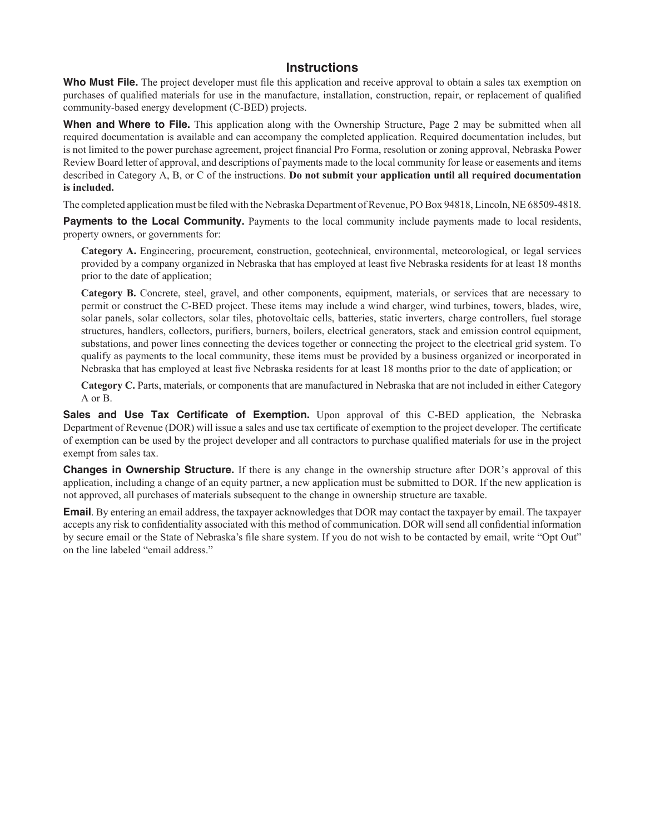## **Instructions**

Who Must File. The project developer must file this application and receive approval to obtain a sales tax exemption on purchases of qualified materials for use in the manufacture, installation, construction, repair, or replacement of qualified community-based energy development (C-BED) projects.

**When and Where to File.** This application along with the Ownership Structure, Page 2 may be submitted when all required documentation is available and can accompany the completed application. Required documentation includes, but is not limited to the power purchase agreement, project financial Pro Forma, resolution or zoning approval, Nebraska Power Review Board letter of approval, and descriptions of payments made to the local community for lease or easements and items described in Category A, B, or C of the instructions. **Do not submit your application until all required documentation is included.** 

The completed application must be filed with the Nebraska Department of Revenue, PO Box 94818, Lincoln, NE 68509-4818.

**Payments to the Local Community.** Payments to the local community include payments made to local residents, property owners, or governments for:

**Category A.** Engineering, procurement, construction, geotechnical, environmental, meteorological, or legal services provided by a company organized in Nebraska that has employed at least five Nebraska residents for at least 18 months prior to the date of application;

**Category B.** Concrete, steel, gravel, and other components, equipment, materials, or services that are necessary to permit or construct the C-BED project. These items may include a wind charger, wind turbines, towers, blades, wire, solar panels, solar collectors, solar tiles, photovoltaic cells, batteries, static inverters, charge controllers, fuel storage structures, handlers, collectors, purifiers, burners, boilers, electrical generators, stack and emission control equipment, substations, and power lines connecting the devices together or connecting the project to the electrical grid system. To qualify as payments to the local community, these items must be provided by a business organized or incorporated in Nebraska that has employed at least five Nebraska residents for at least 18 months prior to the date of application; or

**Category C.** Parts, materials, or components that are manufactured in Nebraska that are not included in either Category A or B.

**Sales and Use Tax Certificate of Exemption.** Upon approval of this C-BED application, the Nebraska Department of Revenue (DOR) will issue a sales and use tax certificate of exemption to the project developer. The certificate of exemption can be used by the project developer and all contractors to purchase qualified materials for use in the project exempt from sales tax.

**Changes in Ownership Structure.** If there is any change in the ownership structure after DOR's approval of this application, including a change of an equity partner, a new application must be submitted to DOR. If the new application is not approved, all purchases of materials subsequent to the change in ownership structure are taxable.

**Email**. By entering an email address, the taxpayer acknowledges that DOR may contact the taxpayer by email. The taxpayer accepts any risk to confidentiality associated with this method of communication. DOR will send all confidential information by secure email or the State of Nebraska's file share system. If you do not wish to be contacted by email, write "Opt Out" on the line labeled "email address."